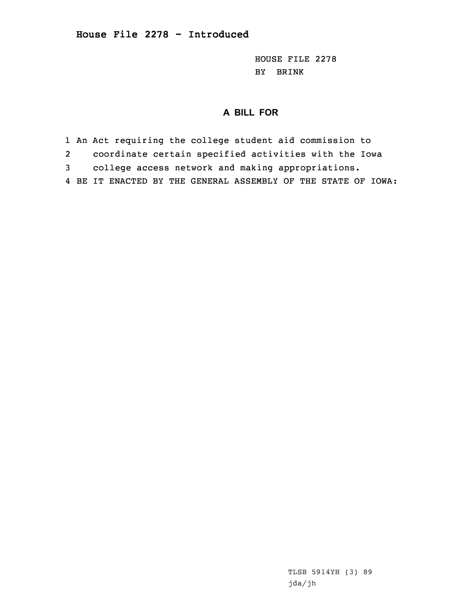HOUSE FILE 2278 BY BRINK

## **A BILL FOR**

- 1 An Act requiring the college student aid commission to
- 2coordinate certain specified activities with the Iowa
- 3 college access network and making appropriations.
- 4 BE IT ENACTED BY THE GENERAL ASSEMBLY OF THE STATE OF IOWA: